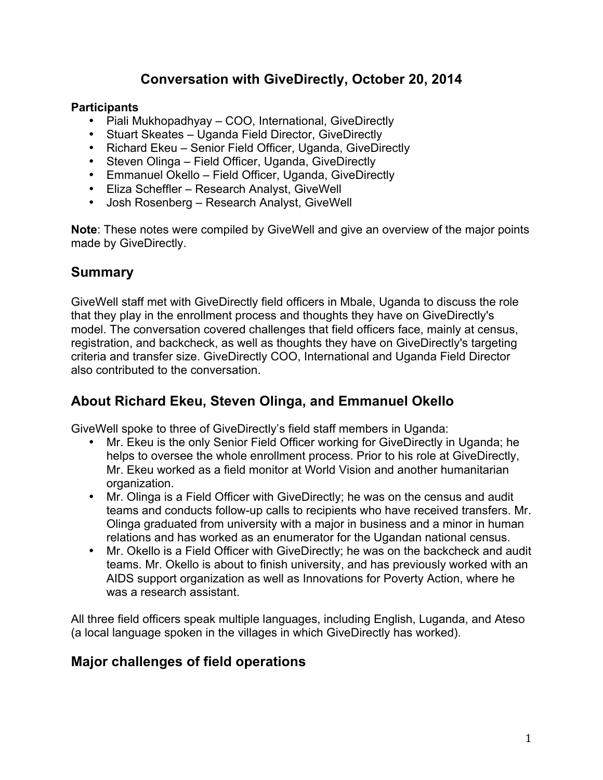# **Conversation with GiveDirectly, October 20, 2014**

#### **Participants**

- Piali Mukhopadhyay COO, International, GiveDirectly
- Stuart Skeates Uganda Field Director, GiveDirectly
- Richard Ekeu Senior Field Officer, Uganda, GiveDirectly
- Steven Olinga Field Officer, Uganda, GiveDirectly
- Emmanuel Okello Field Officer, Uganda, GiveDirectly
- Eliza Scheffler Research Analyst, GiveWell
- Josh Rosenberg Research Analyst, GiveWell

**Note**: These notes were compiled by GiveWell and give an overview of the major points made by GiveDirectly.

## **Summary**

GiveWell staff met with GiveDirectly field officers in Mbale, Uganda to discuss the role that they play in the enrollment process and thoughts they have on GiveDirectly's model. The conversation covered challenges that field officers face, mainly at census, registration, and backcheck, as well as thoughts they have on GiveDirectly's targeting criteria and transfer size. GiveDirectly COO, International and Uganda Field Director also contributed to the conversation.

## **About Richard Ekeu, Steven Olinga, and Emmanuel Okello**

GiveWell spoke to three of GiveDirectly's field staff members in Uganda:

- Mr. Ekeu is the only Senior Field Officer working for GiveDirectly in Uganda; he helps to oversee the whole enrollment process. Prior to his role at GiveDirectly, Mr. Ekeu worked as a field monitor at World Vision and another humanitarian organization.
- Mr. Olinga is a Field Officer with GiveDirectly; he was on the census and audit teams and conducts follow-up calls to recipients who have received transfers. Mr. Olinga graduated from university with a major in business and a minor in human relations and has worked as an enumerator for the Ugandan national census.
- Mr. Okello is a Field Officer with GiveDirectly; he was on the backcheck and audit teams. Mr. Okello is about to finish university, and has previously worked with an AIDS support organization as well as Innovations for Poverty Action, where he was a research assistant.

All three field officers speak multiple languages, including English, Luganda, and Ateso (a local language spoken in the villages in which GiveDirectly has worked).

## **Major challenges of field operations**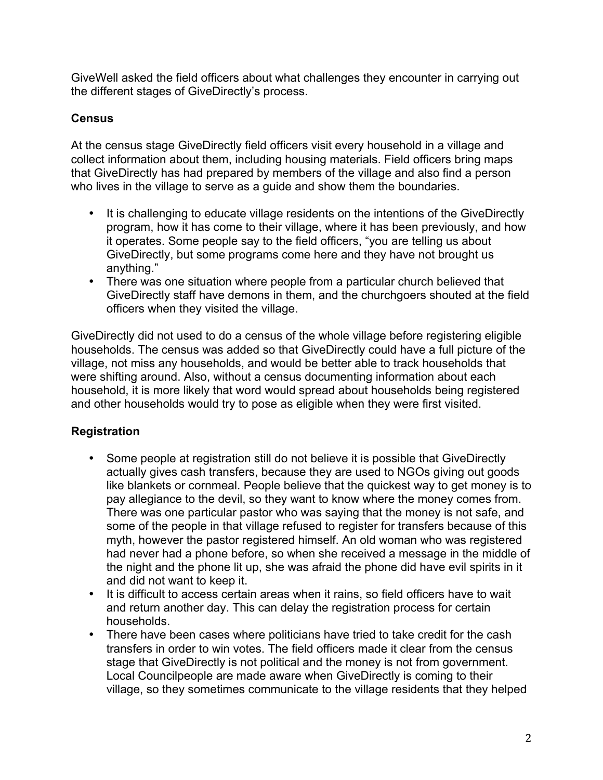GiveWell asked the field officers about what challenges they encounter in carrying out the different stages of GiveDirectly's process.

#### **Census**

At the census stage GiveDirectly field officers visit every household in a village and collect information about them, including housing materials. Field officers bring maps that GiveDirectly has had prepared by members of the village and also find a person who lives in the village to serve as a guide and show them the boundaries.

- It is challenging to educate village residents on the intentions of the GiveDirectly program, how it has come to their village, where it has been previously, and how it operates. Some people say to the field officers, "you are telling us about GiveDirectly, but some programs come here and they have not brought us anything."
- There was one situation where people from a particular church believed that GiveDirectly staff have demons in them, and the churchgoers shouted at the field officers when they visited the village.

GiveDirectly did not used to do a census of the whole village before registering eligible households. The census was added so that GiveDirectly could have a full picture of the village, not miss any households, and would be better able to track households that were shifting around. Also, without a census documenting information about each household, it is more likely that word would spread about households being registered and other households would try to pose as eligible when they were first visited.

#### **Registration**

- Some people at registration still do not believe it is possible that GiveDirectly actually gives cash transfers, because they are used to NGOs giving out goods like blankets or cornmeal. People believe that the quickest way to get money is to pay allegiance to the devil, so they want to know where the money comes from. There was one particular pastor who was saying that the money is not safe, and some of the people in that village refused to register for transfers because of this myth, however the pastor registered himself. An old woman who was registered had never had a phone before, so when she received a message in the middle of the night and the phone lit up, she was afraid the phone did have evil spirits in it and did not want to keep it.
- It is difficult to access certain areas when it rains, so field officers have to wait and return another day. This can delay the registration process for certain households.
- There have been cases where politicians have tried to take credit for the cash transfers in order to win votes. The field officers made it clear from the census stage that GiveDirectly is not political and the money is not from government. Local Councilpeople are made aware when GiveDirectly is coming to their village, so they sometimes communicate to the village residents that they helped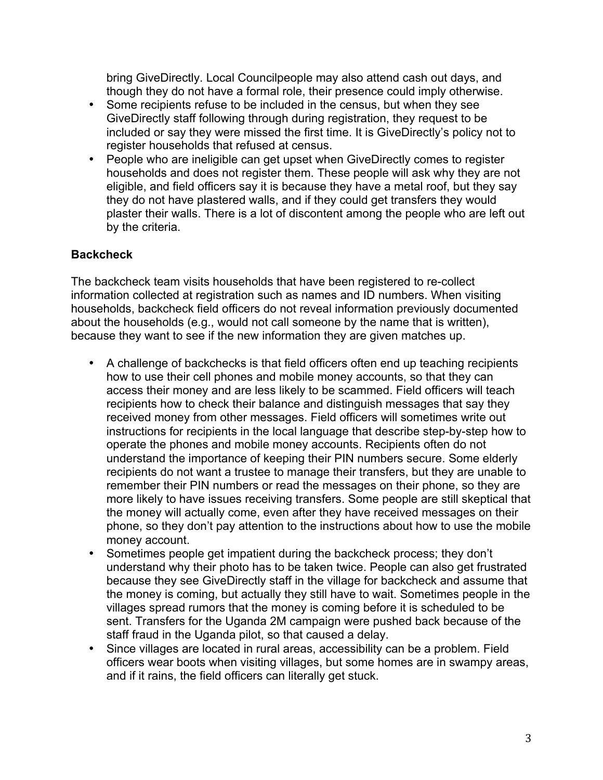bring GiveDirectly. Local Councilpeople may also attend cash out days, and though they do not have a formal role, their presence could imply otherwise.

- Some recipients refuse to be included in the census, but when they see GiveDirectly staff following through during registration, they request to be included or say they were missed the first time. It is GiveDirectly's policy not to register households that refused at census.
- People who are ineligible can get upset when GiveDirectly comes to register households and does not register them. These people will ask why they are not eligible, and field officers say it is because they have a metal roof, but they say they do not have plastered walls, and if they could get transfers they would plaster their walls. There is a lot of discontent among the people who are left out by the criteria.

#### **Backcheck**

The backcheck team visits households that have been registered to re-collect information collected at registration such as names and ID numbers. When visiting households, backcheck field officers do not reveal information previously documented about the households (e.g., would not call someone by the name that is written), because they want to see if the new information they are given matches up.

- A challenge of backchecks is that field officers often end up teaching recipients how to use their cell phones and mobile money accounts, so that they can access their money and are less likely to be scammed. Field officers will teach recipients how to check their balance and distinguish messages that say they received money from other messages. Field officers will sometimes write out instructions for recipients in the local language that describe step-by-step how to operate the phones and mobile money accounts. Recipients often do not understand the importance of keeping their PIN numbers secure. Some elderly recipients do not want a trustee to manage their transfers, but they are unable to remember their PIN numbers or read the messages on their phone, so they are more likely to have issues receiving transfers. Some people are still skeptical that the money will actually come, even after they have received messages on their phone, so they don't pay attention to the instructions about how to use the mobile money account.
- Sometimes people get impatient during the backcheck process; they don't understand why their photo has to be taken twice. People can also get frustrated because they see GiveDirectly staff in the village for backcheck and assume that the money is coming, but actually they still have to wait. Sometimes people in the villages spread rumors that the money is coming before it is scheduled to be sent. Transfers for the Uganda 2M campaign were pushed back because of the staff fraud in the Uganda pilot, so that caused a delay.
- Since villages are located in rural areas, accessibility can be a problem. Field officers wear boots when visiting villages, but some homes are in swampy areas, and if it rains, the field officers can literally get stuck.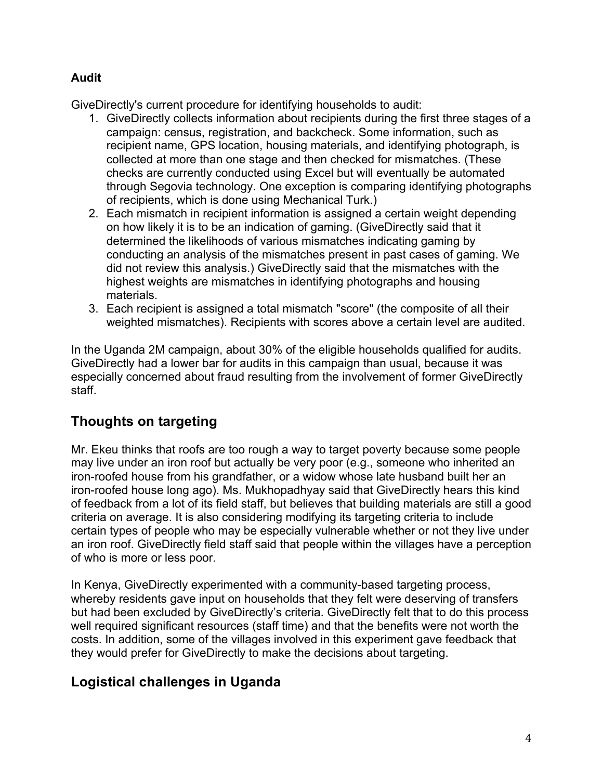#### **Audit**

GiveDirectly's current procedure for identifying households to audit:

- 1. GiveDirectly collects information about recipients during the first three stages of a campaign: census, registration, and backcheck. Some information, such as recipient name, GPS location, housing materials, and identifying photograph, is collected at more than one stage and then checked for mismatches. (These checks are currently conducted using Excel but will eventually be automated through Segovia technology. One exception is comparing identifying photographs of recipients, which is done using Mechanical Turk.)
- 2. Each mismatch in recipient information is assigned a certain weight depending on how likely it is to be an indication of gaming. (GiveDirectly said that it determined the likelihoods of various mismatches indicating gaming by conducting an analysis of the mismatches present in past cases of gaming. We did not review this analysis.) GiveDirectly said that the mismatches with the highest weights are mismatches in identifying photographs and housing materials.
- 3. Each recipient is assigned a total mismatch "score" (the composite of all their weighted mismatches). Recipients with scores above a certain level are audited.

In the Uganda 2M campaign, about 30% of the eligible households qualified for audits. GiveDirectly had a lower bar for audits in this campaign than usual, because it was especially concerned about fraud resulting from the involvement of former GiveDirectly staff.

# **Thoughts on targeting**

Mr. Ekeu thinks that roofs are too rough a way to target poverty because some people may live under an iron roof but actually be very poor (e.g., someone who inherited an iron-roofed house from his grandfather, or a widow whose late husband built her an iron-roofed house long ago). Ms. Mukhopadhyay said that GiveDirectly hears this kind of feedback from a lot of its field staff, but believes that building materials are still a good criteria on average. It is also considering modifying its targeting criteria to include certain types of people who may be especially vulnerable whether or not they live under an iron roof. GiveDirectly field staff said that people within the villages have a perception of who is more or less poor.

In Kenya, GiveDirectly experimented with a community-based targeting process, whereby residents gave input on households that they felt were deserving of transfers but had been excluded by GiveDirectly's criteria. GiveDirectly felt that to do this process well required significant resources (staff time) and that the benefits were not worth the costs. In addition, some of the villages involved in this experiment gave feedback that they would prefer for GiveDirectly to make the decisions about targeting.

# **Logistical challenges in Uganda**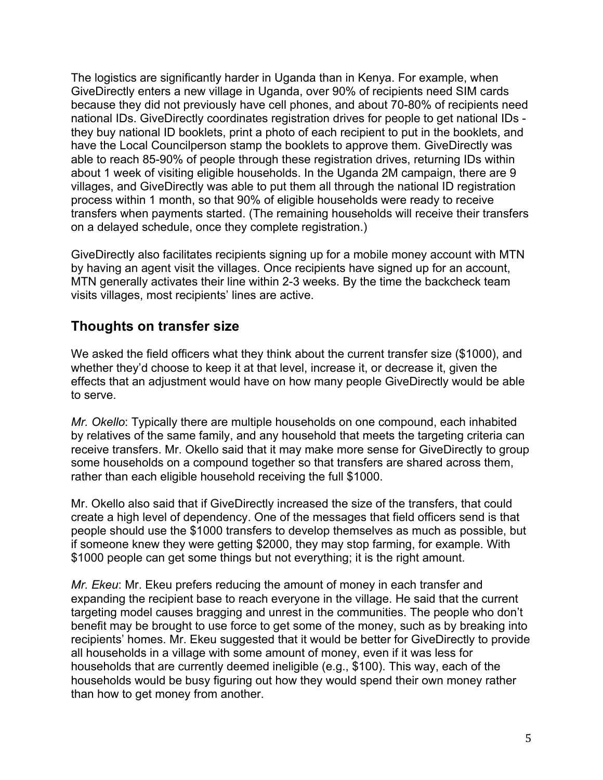The logistics are significantly harder in Uganda than in Kenya. For example, when GiveDirectly enters a new village in Uganda, over 90% of recipients need SIM cards because they did not previously have cell phones, and about 70-80% of recipients need national IDs. GiveDirectly coordinates registration drives for people to get national IDs they buy national ID booklets, print a photo of each recipient to put in the booklets, and have the Local Councilperson stamp the booklets to approve them. GiveDirectly was able to reach 85-90% of people through these registration drives, returning IDs within about 1 week of visiting eligible households. In the Uganda 2M campaign, there are 9 villages, and GiveDirectly was able to put them all through the national ID registration process within 1 month, so that 90% of eligible households were ready to receive transfers when payments started. (The remaining households will receive their transfers on a delayed schedule, once they complete registration.)

GiveDirectly also facilitates recipients signing up for a mobile money account with MTN by having an agent visit the villages. Once recipients have signed up for an account, MTN generally activates their line within 2-3 weeks. By the time the backcheck team visits villages, most recipients' lines are active.

## **Thoughts on transfer size**

We asked the field officers what they think about the current transfer size (\$1000), and whether they'd choose to keep it at that level, increase it, or decrease it, given the effects that an adjustment would have on how many people GiveDirectly would be able to serve.

*Mr. Okello*: Typically there are multiple households on one compound, each inhabited by relatives of the same family, and any household that meets the targeting criteria can receive transfers. Mr. Okello said that it may make more sense for GiveDirectly to group some households on a compound together so that transfers are shared across them, rather than each eligible household receiving the full \$1000.

Mr. Okello also said that if GiveDirectly increased the size of the transfers, that could create a high level of dependency. One of the messages that field officers send is that people should use the \$1000 transfers to develop themselves as much as possible, but if someone knew they were getting \$2000, they may stop farming, for example. With \$1000 people can get some things but not everything; it is the right amount.

*Mr. Ekeu*: Mr. Ekeu prefers reducing the amount of money in each transfer and expanding the recipient base to reach everyone in the village. He said that the current targeting model causes bragging and unrest in the communities. The people who don't benefit may be brought to use force to get some of the money, such as by breaking into recipients' homes. Mr. Ekeu suggested that it would be better for GiveDirectly to provide all households in a village with some amount of money, even if it was less for households that are currently deemed ineligible (e.g., \$100). This way, each of the households would be busy figuring out how they would spend their own money rather than how to get money from another.